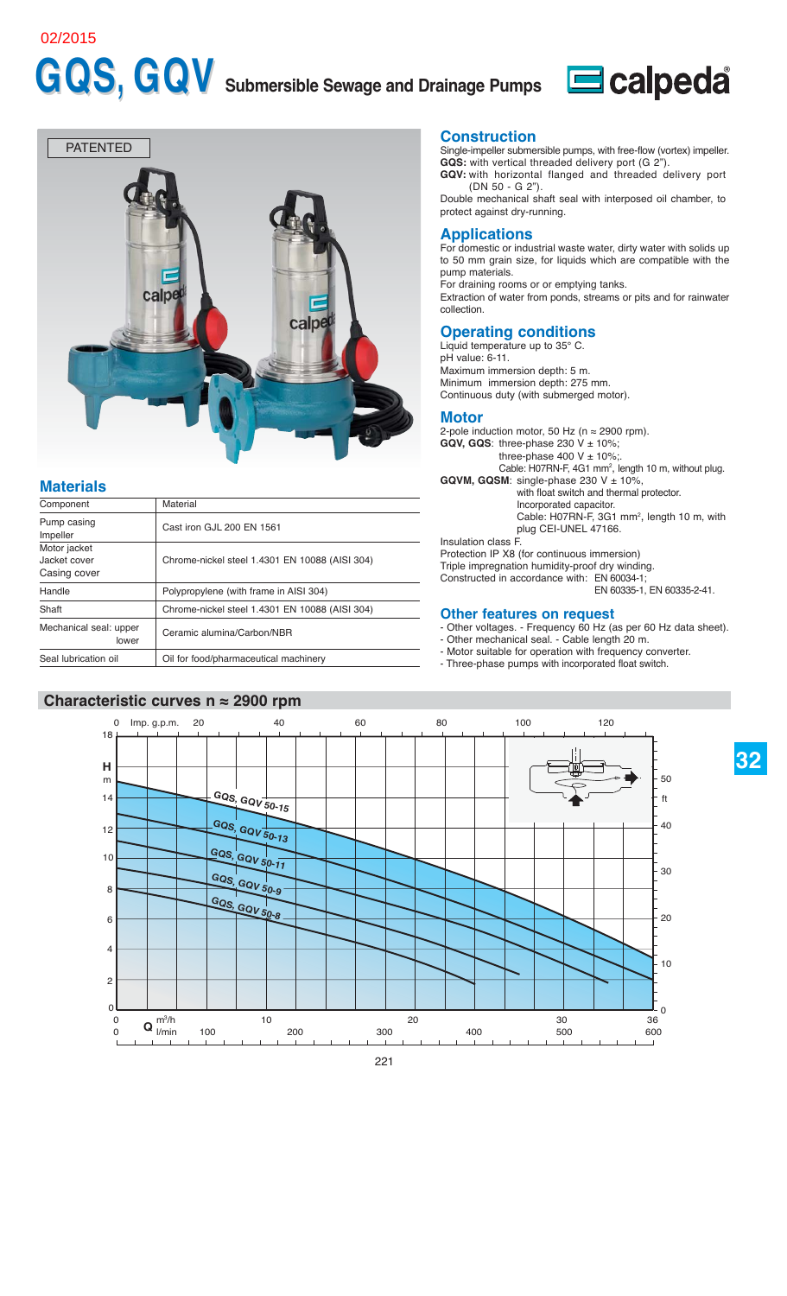#### 02/2015

# GQS, GQV Submersible Sewage and Drainage Pumps Ecalpeda





## **Materials**

| Component                                    | Material                                       |
|----------------------------------------------|------------------------------------------------|
| Pump casing<br>Impeller                      | Cast iron GJL 200 EN 1561                      |
| Motor jacket<br>Jacket cover<br>Casing cover | Chrome-nickel steel 1.4301 EN 10088 (AISI 304) |
| Handle                                       | Polypropylene (with frame in AISI 304)         |
| Shaft                                        | Chrome-nickel steel 1.4301 EN 10088 (AISI 304) |
| Mechanical seal: upper<br>lower              | Ceramic alumina/Carbon/NBR                     |
| Seal lubrication oil                         | Oil for food/pharmaceutical machinery          |

#### **Characteristic curves n ≈ 2900 rpm**

#### **Construction**

Single-impeller submersible pumps, with free-flow (vortex) impeller. **GQS:** with vertical threaded delivery port (G 2").

**GQV:** with horizontal flanged and threaded delivery port (DN 50 - G 2").

Double mechanical shaft seal with interposed oil chamber, to protect against dry-running.

#### **Applications**

For domestic or industrial waste water, dirty water with solids up to 50 mm grain size, for liquids which are compatible with the pump materials.

For draining rooms or or emptying tanks.

Extraction of water from ponds, streams or pits and for rainwater collection.

### **Operating conditions**

Liquid temperature up to 35° C. pH value: 6-11. Maximum immersion depth: 5 m. Minimum immersion depth: 275 mm. Continuous duty (with submerged motor).

#### **Motor**

2-pole induction motor, 50 Hz ( $n \approx 2900$  rpm). GQV, GQS: three-phase  $230$  V  $\pm$  10%; three-phase  $400 \text{ V} \pm 10\%$ ; Cable: H07RN-F, 4G1 mm<sup>2</sup>, length 10 m, without plug. **GQVM, GQSM:** single-phase 230  $V \pm 10\%$ , with float switch and thermal protector. Incorporated capacitor. Cable:  $H07RN-F$ ,  $3G1 mm^2$ , length 10 m, with plug CEI-UNEL 47166. Insulation class F. Protection IP X8 (for continuous immersion) Triple impregnation humidity-proof dry winding. Constructed in accordance with: EN 60034-1; EN 60335-1, EN 60335-2-41.

#### **Other features on request**

- Other voltages. Frequency 60 Hz (as per 60 Hz data sheet).
- Other mechanical seal. Cable length 20 m.
- Motor suitable for operation with frequency converter.
- Three-phase pumps with incorporated float switch.

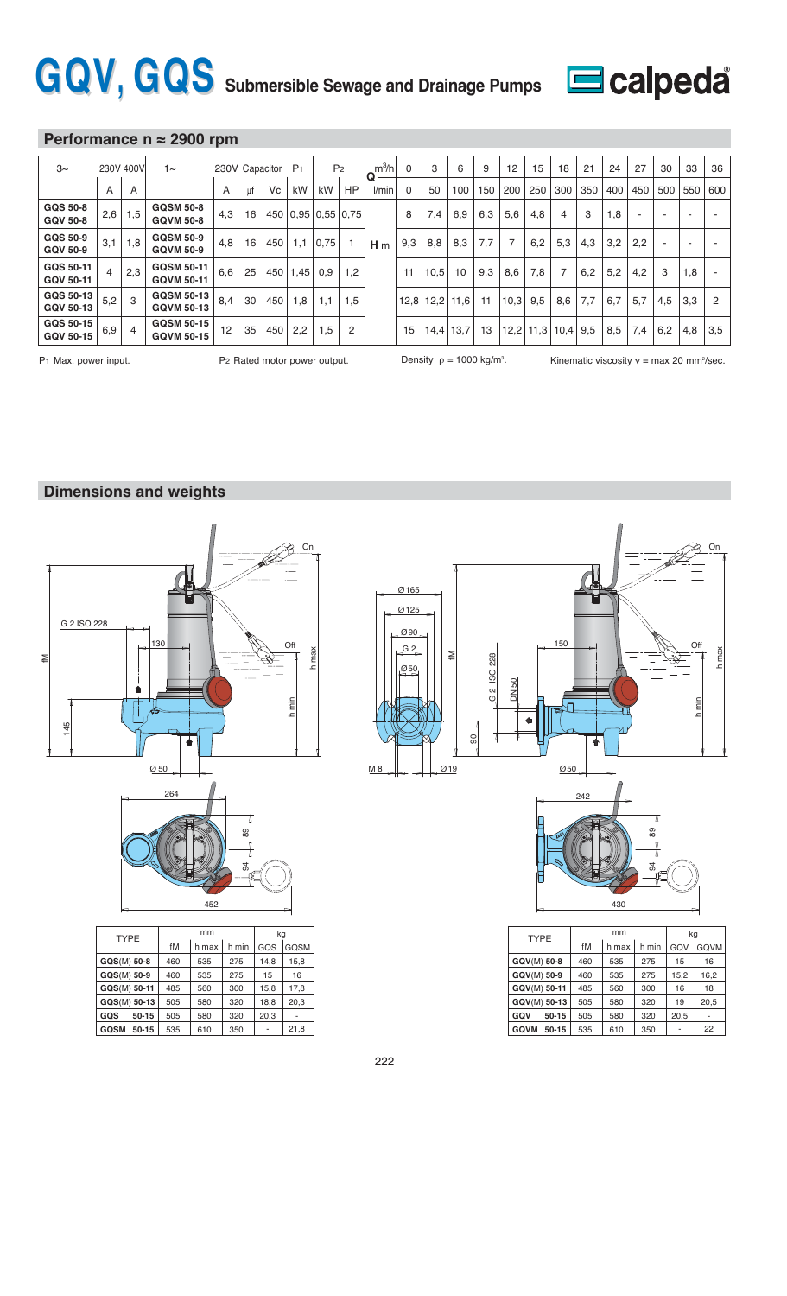# GQV, GQS Submersible Sewage and Drainage Pumps Ecalpeda



### **Performance n ≈ 2900 rpm**

| $3\sim$                            |     | 230V 400V      | 1∼                                     |     | 230V Capacitor |     | P <sub>1</sub>           |      | P <sub>2</sub> | $m^3/h$<br>۱Q  | $\Omega$ | 3    | 6    | 9   | 12             | 15  | 18          | 21  | 24  | 27  | 30  | 33  | 36  |
|------------------------------------|-----|----------------|----------------------------------------|-----|----------------|-----|--------------------------|------|----------------|----------------|----------|------|------|-----|----------------|-----|-------------|-----|-----|-----|-----|-----|-----|
|                                    | A   | A              |                                        | A   | ut             | Vc  | kW                       | kW   | <b>HP</b>      | l/min          | 0        | 50   | 100  | 150 | 200            | 250 | 300         | 350 | 400 | 450 | 500 | 550 | 600 |
| <b>GQS 50-8</b><br><b>GQV 50-8</b> | 2,6 | 1,5            | <b>GQSM 50-8</b><br><b>GQVM 50-8</b>   | 4,3 | 16             |     | 450   0.95   0.55   0.75 |      |                |                | 8        | 7,4  | 6,9  | 6,3 | 5,6            | 4,8 | 4           | 3   | 1,8 |     |     | -   |     |
| GQS 50-9<br><b>GQV 50-9</b>        | 3,1 | 1,8            | <b>GQSM 50-9</b><br><b>GQVM 50-9</b>   | 4,8 | 16             | 450 | 1,1                      | 0.75 |                | H <sub>m</sub> | 9,3      | 8,8  | 8,3  | 7.7 | $\overline{7}$ | 6,2 | 5,3         | 4,3 | 3,2 | 2,2 |     | ٠   |     |
| GQS 50-11<br>GQV 50-11             |     | 2,3            | <b>GQSM 50-11</b><br><b>GQVM 50-11</b> | 6,6 | 25             |     | 450 1.45                 | 0,9  | 1,2            |                | 11       | 10,5 | 10   | 9,3 | 8,6            | 7,8 |             | 6,2 | 5,2 | 4,2 | 3   | 1,8 |     |
| GQS 50-13<br>GQV 50-13             | 5,2 | 3              | <b>GQSM 50-13</b><br><b>GQVM 50-13</b> | 8,4 | 30             | 450 | 1,8                      | 1,1  | 1,5            |                | 12,8     | 12,2 | 11,6 | 11  | 10,3           | 9,5 | 8,6         | 7,7 | 6,7 | 5,7 | 4,5 | 3,3 | 2   |
| GQS 50-15<br>GQV 50-15             | 6,9 | $\overline{4}$ | <b>GQSM 50-15</b><br><b>GQVM 50-15</b> | 12  | 35             | 450 | 2,2                      | 1,5  | $\overline{2}$ |                | 15       | 14,4 | 13,7 | 13  | 12,2           |     | $11,3$ 10.4 | 9,5 | 8,5 | 7.4 | 6,2 | 4,8 | 3,5 |

Density  $\rho = 1000$  kg/m<sup>3</sup>.

P1 Max. power input.  $P_2$  Rated motor power output. Density  $\rho = 1000$  kg/m<sup>3</sup>. Kinematic viscosity  $v = max 20$  mm<sup>2</sup>/sec.

### **Dimensions and weights**



-

**GQSM** 50-15 535 610 350

21,8



| 89<br>ă |
|---------|
| 430     |

| <b>TYPE</b>              |     | mm    | kg    |      |      |  |
|--------------------------|-----|-------|-------|------|------|--|
|                          | fM  | h max | h min | GQV  | GQVM |  |
| GQV(M) 50-8              | 460 | 535   | 275   | 15   | 16   |  |
| GQV(M) 50-9              | 460 | 535   | 275   | 15,2 | 16,2 |  |
| GQV(M) 50-11             | 485 | 560   | 300   | 16   | 18   |  |
| GQV(M) 50-13             | 505 | 580   | 320   | 19   | 20,5 |  |
| GQV<br>50-15             | 505 | 580   | 320   | 20,5 |      |  |
| <b>GQVM</b><br>$50 - 15$ | 535 | 610   | 350   |      | 22   |  |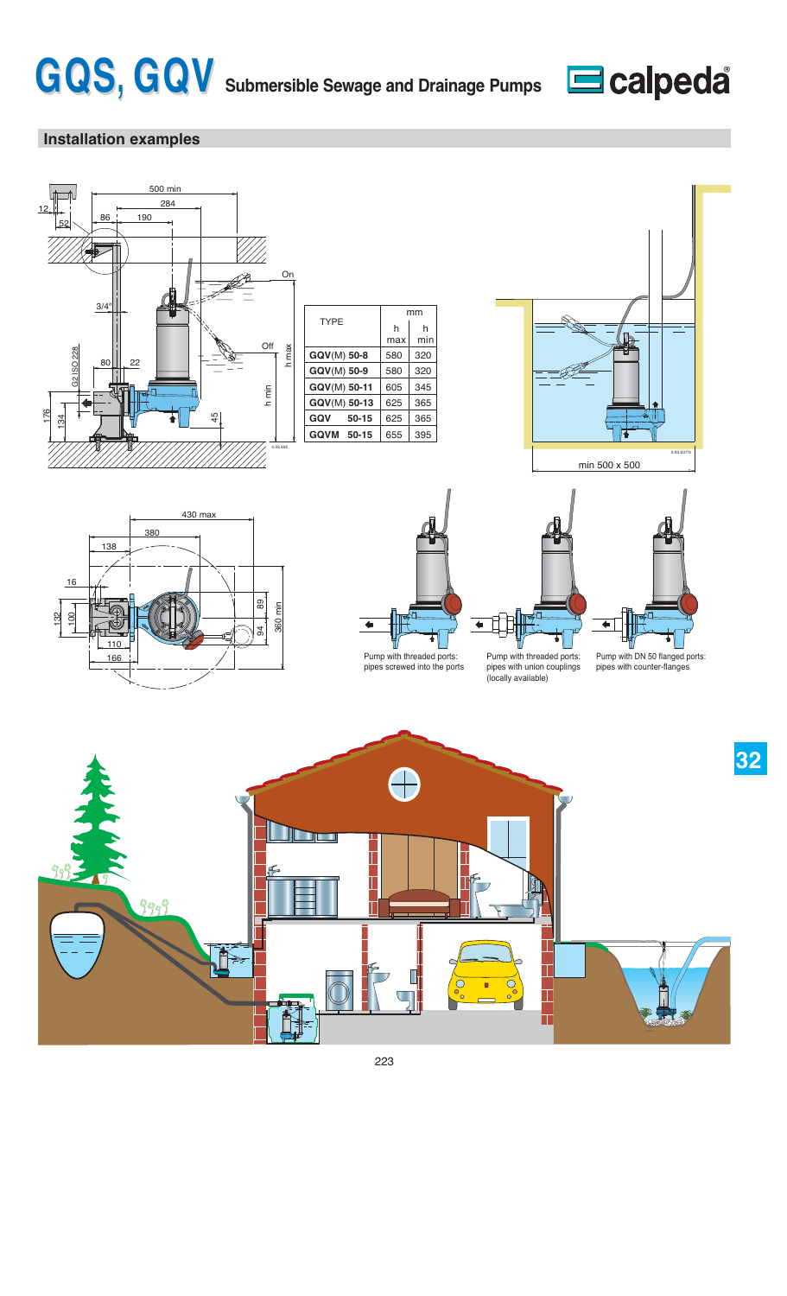



# **Installation examples**









mm

320 320

h min

580 580

h max

pipes screwed into the ports

 $\leftarrow$ Pump with threaded ports: pipes with union couplings

(locally available)



Pump with DN 50 flanged ports: pipes with counter-flanges